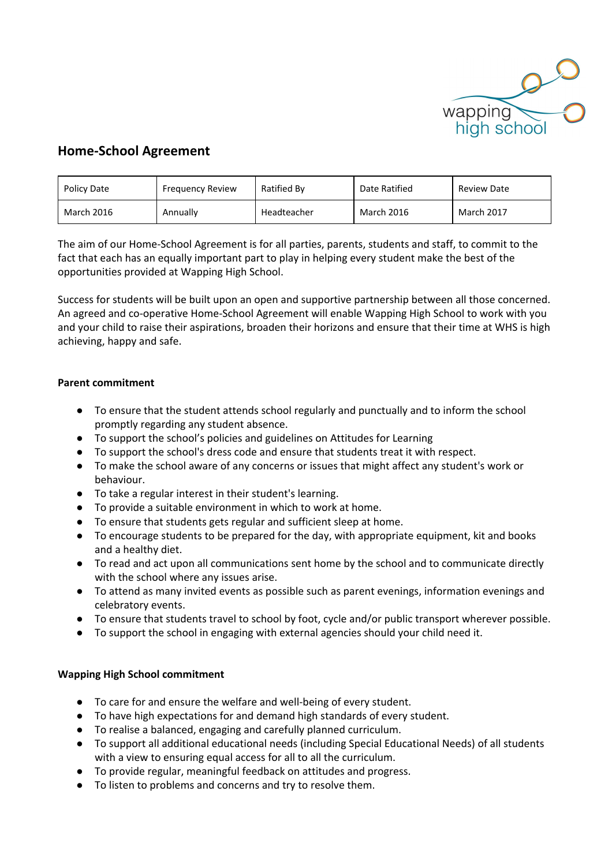

# **Home-School Agreement**

| Policy Date | Frequency Review | Ratified By | Date Ratified | Review Date |
|-------------|------------------|-------------|---------------|-------------|
| March 2016  | Annually         | Headteacher | March 2016    | March 2017  |

The aim of our Home-School Agreement is for all parties, parents, students and staff, to commit to the fact that each has an equally important part to play in helping every student make the best of the opportunities provided at Wapping High School.

Success for students will be built upon an open and supportive partnership between all those concerned. An agreed and co-operative Home-School Agreement will enable Wapping High School to work with you and your child to raise their aspirations, broaden their horizons and ensure that their time at WHS is high achieving, happy and safe.

### **Parent commitment**

- To ensure that the student attends school regularly and punctually and to inform the school promptly regarding any student absence.
- To support the school's policies and guidelines on Attitudes for Learning
- To support the school's dress code and ensure that students treat it with respect.
- To make the school aware of any concerns or issues that might affect any student's work or behaviour.
- To take a regular interest in their student's learning.
- To provide a suitable environment in which to work at home.
- To ensure that students gets regular and sufficient sleep at home.
- To encourage students to be prepared for the day, with appropriate equipment, kit and books and a healthy diet.
- To read and act upon all communications sent home by the school and to communicate directly with the school where any issues arise.
- To attend as many invited events as possible such as parent evenings, information evenings and celebratory events.
- To ensure that students travel to school by foot, cycle and/or public transport wherever possible.
- To support the school in engaging with external agencies should your child need it.

#### **Wapping High School commitment**

- To care for and ensure the welfare and well-being of every student.
- To have high expectations for and demand high standards of every student.
- To realise a balanced, engaging and carefully planned curriculum.
- To support all additional educational needs (including Special Educational Needs) of all students with a view to ensuring equal access for all to all the curriculum.
- To provide regular, meaningful feedback on attitudes and progress.
- To listen to problems and concerns and try to resolve them.